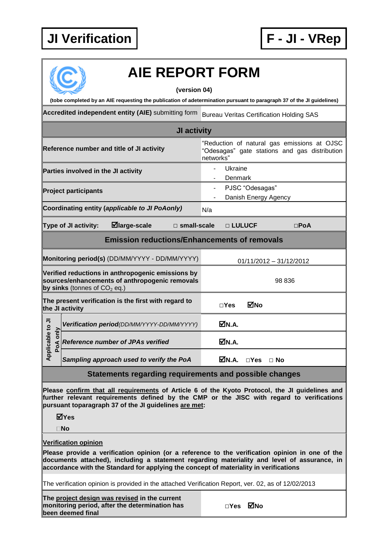## **JI Verification F - JI - VRep**



## **AIE REPORT FORM**

**(version 04)**

**(tobe completed by an AIE requesting the publication of adetermination pursuant to paragraph 37 of the JI guidelines)**

**Accredited independent entity (AIE)** submitting form Bureau Veritas Certification Holding SAS

| JI activity                                                                                                                           |                                                |                                            |                                                                                                           |                                         |                           |               |               |  |
|---------------------------------------------------------------------------------------------------------------------------------------|------------------------------------------------|--------------------------------------------|-----------------------------------------------------------------------------------------------------------|-----------------------------------------|---------------------------|---------------|---------------|--|
| Reference number and title of JI activity                                                                                             |                                                |                                            | "Reduction of natural gas emissions at OJSC<br>"Odesagas" gate stations and gas distribution<br>networks" |                                         |                           |               |               |  |
|                                                                                                                                       | Parties involved in the JI activity            |                                            |                                                                                                           | Ukraine<br>Denmark                      |                           |               |               |  |
| <b>Project participants</b>                                                                                                           |                                                |                                            |                                                                                                           | PJSC "Odesagas"<br>Danish Energy Agency |                           |               |               |  |
| Coordinating entity (applicable to JI PoAonly)                                                                                        |                                                |                                            |                                                                                                           | N/a                                     |                           |               |               |  |
| ⊠large-scale<br>Type of JI activity:<br>$\square$ small-scale                                                                         |                                                |                                            |                                                                                                           |                                         | □ LULUCF                  |               | $\square$ PoA |  |
| <b>Emission reductions/Enhancements of removals</b>                                                                                   |                                                |                                            |                                                                                                           |                                         |                           |               |               |  |
|                                                                                                                                       | Monitoring period(s) (DD/MM/YYYY - DD/MM/YYYY) |                                            |                                                                                                           |                                         | $01/11/2012 - 31/12/2012$ |               |               |  |
| Verified reductions in anthropogenic emissions by<br>sources/enhancements of anthropogenic removals<br>by sinks (tonnes of $CO2$ eq.) |                                                |                                            |                                                                                                           |                                         | 98 836                    |               |               |  |
| The present verification is the first with regard to<br>the JI activity                                                               |                                                |                                            |                                                                                                           | $\sqcap$ Yes                            | ⊠No                       |               |               |  |
|                                                                                                                                       |                                                | Verification period(DD/MM/YYYY-DD/MM/YYYY) |                                                                                                           |                                         | MM.A.                     |               |               |  |
| Applicable to JI<br>PoA only                                                                                                          |                                                | <b>Reference number of JPAs verified</b>   |                                                                                                           |                                         | MM.A.                     |               |               |  |
|                                                                                                                                       |                                                | Sampling approach used to verify the PoA   |                                                                                                           |                                         | M.A.                      | $\square$ Yes | $\Box$ No     |  |

## **Statements regarding requirements and possible changes**

**Please confirm that all requirements of Article 6 of the Kyoto Protocol, the JI guidelines and further relevant requirements defined by the CMP or the JISC with regard to verifications pursuant toparagraph 37 of the JI guidelines are met:**

**Yes**

**No**

**Verification opinion**

**Please provide a verification opinion (or a reference to the verification opinion in one of the documents attached), including a statement regarding materiality and level of assurance, in accordance with the Standard for applying the concept of materiality in verifications**

The verification opinion is provided in the attached Verification Report, ver. 02, as of 12/02/2013

**The project design was revised in the current monitoring period, after the determination has been deemed final**

| ⊠No |
|-----|
|     |